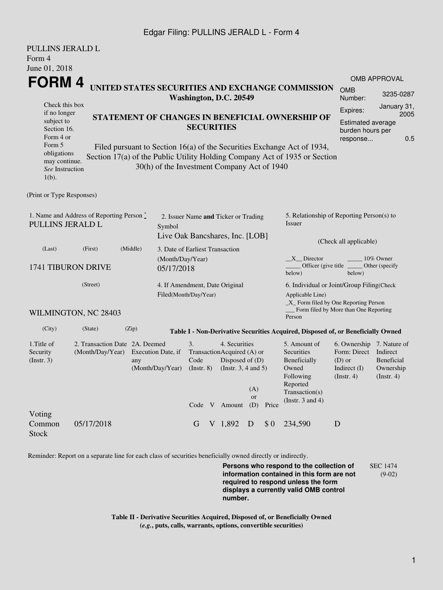## Edgar Filing: PULLINS JERALD L - Form 4

| PULLINS JERALD L                                                                     |                                                                       |                                                                                                                                                 |                                             |                                                         |  |                                                                                                             |                         |       |                                                                                                                         |                                                                                                      |                                                                                             |  |  |
|--------------------------------------------------------------------------------------|-----------------------------------------------------------------------|-------------------------------------------------------------------------------------------------------------------------------------------------|---------------------------------------------|---------------------------------------------------------|--|-------------------------------------------------------------------------------------------------------------|-------------------------|-------|-------------------------------------------------------------------------------------------------------------------------|------------------------------------------------------------------------------------------------------|---------------------------------------------------------------------------------------------|--|--|
| Form 4                                                                               |                                                                       |                                                                                                                                                 |                                             |                                                         |  |                                                                                                             |                         |       |                                                                                                                         |                                                                                                      |                                                                                             |  |  |
| June 01, 2018                                                                        |                                                                       |                                                                                                                                                 |                                             |                                                         |  |                                                                                                             |                         |       |                                                                                                                         |                                                                                                      |                                                                                             |  |  |
| <b>FORM4</b><br>UNITED STATES SECURITIES AND EXCHANGE COMMISSION                     |                                                                       |                                                                                                                                                 |                                             |                                                         |  |                                                                                                             |                         |       |                                                                                                                         | <b>OMB APPROVAL</b>                                                                                  |                                                                                             |  |  |
|                                                                                      |                                                                       |                                                                                                                                                 |                                             |                                                         |  | Washington, D.C. 20549                                                                                      |                         |       |                                                                                                                         | <b>OMB</b><br>Number:                                                                                | 3235-0287                                                                                   |  |  |
| Check this box<br>if no longer<br>subject to<br>Section 16.<br>Form 4 or<br>Form 5   |                                                                       | STATEMENT OF CHANGES IN BENEFICIAL OWNERSHIP OF<br><b>SECURITIES</b><br>Filed pursuant to Section 16(a) of the Securities Exchange Act of 1934, |                                             |                                                         |  |                                                                                                             |                         |       |                                                                                                                         |                                                                                                      | January 31,<br>Expires:<br>2005<br>Estimated average<br>burden hours per<br>0.5<br>response |  |  |
| obligations<br>may continue.<br>See Instruction<br>$1(b)$ .                          |                                                                       |                                                                                                                                                 | 30(h) of the Investment Company Act of 1940 |                                                         |  |                                                                                                             |                         |       | Section 17(a) of the Public Utility Holding Company Act of 1935 or Section                                              |                                                                                                      |                                                                                             |  |  |
| (Print or Type Responses)                                                            |                                                                       |                                                                                                                                                 |                                             |                                                         |  |                                                                                                             |                         |       |                                                                                                                         |                                                                                                      |                                                                                             |  |  |
| 1. Name and Address of Reporting Person $\degree$<br>PULLINS JERALD L<br>Symbol      |                                                                       |                                                                                                                                                 |                                             | 2. Issuer Name and Ticker or Trading                    |  |                                                                                                             |                         |       | 5. Relationship of Reporting Person(s) to<br>Issuer                                                                     |                                                                                                      |                                                                                             |  |  |
|                                                                                      |                                                                       |                                                                                                                                                 | Live Oak Bancshares, Inc. [LOB]             |                                                         |  |                                                                                                             |                         |       | (Check all applicable)                                                                                                  |                                                                                                      |                                                                                             |  |  |
| (Middle)<br>(Last)<br>(First)<br><b>1741 TIBURON DRIVE</b><br>05/17/2018<br>(Street) |                                                                       |                                                                                                                                                 |                                             | 3. Date of Earliest Transaction<br>(Month/Day/Year)     |  |                                                                                                             |                         |       | $X$ Director<br>10% Owner<br>Officer (give title)<br>Other (specify<br>below)<br>below)                                 |                                                                                                      |                                                                                             |  |  |
|                                                                                      |                                                                       |                                                                                                                                                 |                                             | 4. If Amendment, Date Original<br>Filed(Month/Day/Year) |  |                                                                                                             |                         |       | 6. Individual or Joint/Group Filing(Check<br>Applicable Line)<br>$\_X$ Form filed by One Reporting Person               |                                                                                                      |                                                                                             |  |  |
|                                                                                      | WILMINGTON, NC 28403                                                  |                                                                                                                                                 |                                             |                                                         |  |                                                                                                             |                         |       | Person                                                                                                                  | Form filed by More than One Reporting                                                                |                                                                                             |  |  |
| (City)                                                                               | (State)                                                               | (Zip)                                                                                                                                           |                                             |                                                         |  |                                                                                                             |                         |       | Table I - Non-Derivative Securities Acquired, Disposed of, or Beneficially Owned                                        |                                                                                                      |                                                                                             |  |  |
| 1. Title of<br>Security<br>(Insert. 3)                                               | 2. Transaction Date 2A. Deemed<br>(Month/Day/Year) Execution Date, if | any<br>(Month/Day/Year)                                                                                                                         |                                             | 3.<br>Code<br>(Insert. 8)                               |  | 4. Securities<br>TransactionAcquired (A) or<br>Disposed of (D)<br>(Instr. $3, 4$ and $5$ )<br>Code V Amount | (A)<br><b>or</b><br>(D) | Price | 5. Amount of<br>Securities<br>Beneficially<br>Owned<br>Following<br>Reported<br>Transaction(s)<br>(Instr. $3$ and $4$ ) | 6. Ownership 7. Nature of<br>Form: Direct Indirect<br>$(D)$ or<br>Indirect $(I)$<br>$($ Instr. 4 $)$ | Beneficial<br>Ownership<br>$($ Instr. 4 $)$                                                 |  |  |
| Voting<br>Common<br><b>Stock</b>                                                     | 05/17/2018                                                            |                                                                                                                                                 |                                             | G                                                       |  | $V$ 1,892                                                                                                   | D                       | \$0   | 234,590                                                                                                                 | D                                                                                                    |                                                                                             |  |  |

Reminder: Report on a separate line for each class of securities beneficially owned directly or indirectly.

**Persons who respond to the collection of information contained in this form are not required to respond unless the form displays a currently valid OMB control number.** SEC 1474 (9-02)

**Table II - Derivative Securities Acquired, Disposed of, or Beneficially Owned (***e.g.***, puts, calls, warrants, options, convertible securities)**